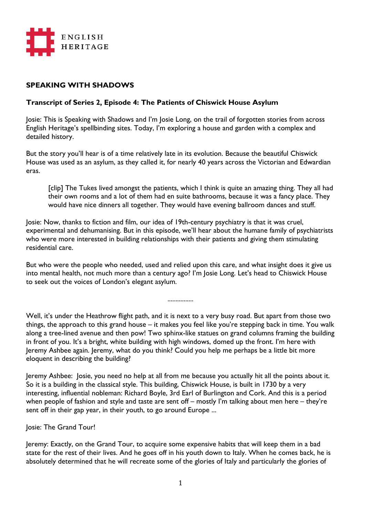

## **SPEAKING WITH SHADOWS**

## **Transcript of Series 2, Episode 4: The Patients of Chiswick House Asylum**

Josie: This is Speaking with Shadows and I'm Josie Long, on the trail of forgotten stories from across English Heritage's spellbinding sites. Today, I'm exploring a house and garden with a complex and detailed history.

But the story you'll hear is of a time relatively late in its evolution. Because the beautiful Chiswick House was used as an asylum, as they called it, for nearly 40 years across the Victorian and Edwardian eras.

[clip] The Tukes lived amongst the patients, which I think is quite an amazing thing. They all had their own rooms and a lot of them had en suite bathrooms, because it was a fancy place. They would have nice dinners all together. They would have evening ballroom dances and stuff.

Josie: Now, thanks to fiction and film, our idea of 19th-century psychiatry is that it was cruel, experimental and dehumanising. But in this episode, we'll hear about the humane family of psychiatrists who were more interested in building relationships with their patients and giving them stimulating residential care.

But who were the people who needed, used and relied upon this care, and what insight does it give us into mental health, not much more than a century ago? I'm Josie Long. Let's head to Chiswick House to seek out the voices of London's elegant asylum.

................

Well, it's under the Heathrow flight path, and it is next to a very busy road. But apart from those two things, the approach to this grand house – it makes you feel like you're stepping back in time. You walk along a tree-lined avenue and then pow! Two sphinx-like statues on grand columns framing the building in front of you. It's a bright, white building with high windows, domed up the front. I'm here with Jeremy Ashbee again. Jeremy, what do you think? Could you help me perhaps be a little bit more eloquent in describing the building?

Jeremy Ashbee: Josie, you need no help at all from me because you actually hit all the points about it. So it is a building in the classical style. This building, Chiswick House, is built in 1730 by a very interesting, influential nobleman: Richard Boyle, 3rd Earl of Burlington and Cork. And this is a period when people of fashion and style and taste are sent off – mostly I'm talking about men here – they're sent off in their gap year, in their youth, to go around Europe ...

Josie: The Grand Tour!

Jeremy: Exactly, on the Grand Tour, to acquire some expensive habits that will keep them in a bad state for the rest of their lives. And he goes off in his youth down to Italy. When he comes back, he is absolutely determined that he will recreate some of the glories of Italy and particularly the glories of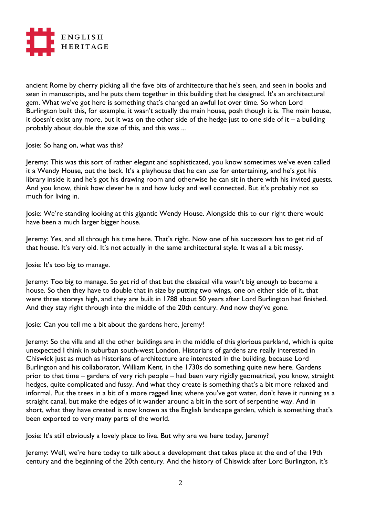

ancient Rome by cherry picking all the fave bits of architecture that he's seen, and seen in books and seen in manuscripts, and he puts them together in this building that he designed. It's an architectural gem. What we've got here is something that's changed an awful lot over time. So when Lord Burlington built this, for example, it wasn't actually the main house, posh though it is. The main house, it doesn't exist any more, but it was on the other side of the hedge just to one side of it – a building probably about double the size of this, and this was ...

Josie: So hang on, what was this?

Jeremy: This was this sort of rather elegant and sophisticated, you know sometimes we've even called it a Wendy House, out the back. It's a playhouse that he can use for entertaining, and he's got his library inside it and he's got his drawing room and otherwise he can sit in there with his invited guests. And you know, think how clever he is and how lucky and well connected. But it's probably not so much for living in.

Josie: We're standing looking at this gigantic Wendy House. Alongside this to our right there would have been a much larger bigger house.

Jeremy: Yes, and all through his time here. That's right. Now one of his successors has to get rid of that house. It's very old. It's not actually in the same architectural style. It was all a bit messy.

Josie: It's too big to manage.

Jeremy: Too big to manage. So get rid of that but the classical villa wasn't big enough to become a house. So then they have to double that in size by putting two wings, one on either side of it, that were three storeys high, and they are built in 1788 about 50 years after Lord Burlington had finished. And they stay right through into the middle of the 20th century. And now they've gone.

Josie: Can you tell me a bit about the gardens here, Jeremy?

Jeremy: So the villa and all the other buildings are in the middle of this glorious parkland, which is quite unexpected I think in suburban south-west London. Historians of gardens are really interested in Chiswick just as much as historians of architecture are interested in the building, because Lord Burlington and his collaborator, William Kent, in the 1730s do something quite new here. Gardens prior to that time – gardens of very rich people – had been very rigidly geometrical, you know, straight hedges, quite complicated and fussy. And what they create is something that's a bit more relaxed and informal. Put the trees in a bit of a more ragged line; where you've got water, don't have it running as a straight canal, but make the edges of it wander around a bit in the sort of serpentine way. And in short, what they have created is now known as the English landscape garden, which is something that's been exported to very many parts of the world.

Josie: It's still obviously a lovely place to live. But why are we here today, Jeremy?

Jeremy: Well, we're here today to talk about a development that takes place at the end of the 19th century and the beginning of the 20th century. And the history of Chiswick after Lord Burlington, it's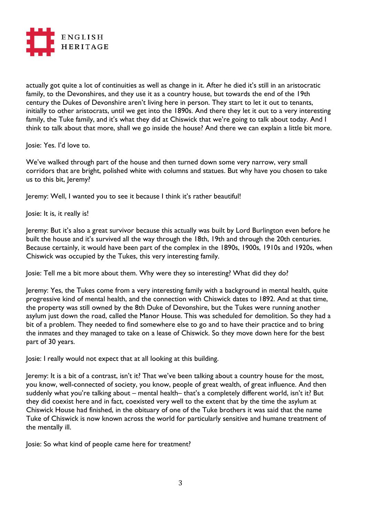

actually got quite a lot of continuities as well as change in it. After he died it's still in an aristocratic family, to the Devonshires, and they use it as a country house, but towards the end of the 19th century the Dukes of Devonshire aren't living here in person. They start to let it out to tenants, initially to other aristocrats, until we get into the 1890s. And there they let it out to a very interesting family, the Tuke family, and it's what they did at Chiswick that we're going to talk about today. And I think to talk about that more, shall we go inside the house? And there we can explain a little bit more.

Josie: Yes. I'd love to.

We've walked through part of the house and then turned down some very narrow, very small corridors that are bright, polished white with columns and statues. But why have you chosen to take us to this bit, Jeremy?

Jeremy: Well, I wanted you to see it because I think it's rather beautiful!

Josie: It is, it really is!

Jeremy: But it's also a great survivor because this actually was built by Lord Burlington even before he built the house and it's survived all the way through the 18th, 19th and through the 20th centuries. Because certainly, it would have been part of the complex in the 1890s, 1900s, 1910s and 1920s, when Chiswick was occupied by the Tukes, this very interesting family.

Josie: Tell me a bit more about them. Why were they so interesting? What did they do?

Jeremy: Yes, the Tukes come from a very interesting family with a background in mental health, quite progressive kind of mental health, and the connection with Chiswick dates to 1892. And at that time, the property was still owned by the 8th Duke of Devonshire, but the Tukes were running another asylum just down the road, called the Manor House. This was scheduled for demolition. So they had a bit of a problem. They needed to find somewhere else to go and to have their practice and to bring the inmates and they managed to take on a lease of Chiswick. So they move down here for the best part of 30 years.

Josie: I really would not expect that at all looking at this building.

Jeremy: It is a bit of a contrast, isn't it? That we've been talking about a country house for the most, you know, well-connected of society, you know, people of great wealth, of great influence. And then suddenly what you're talking about – mental health– that's a completely different world, isn't it? But they did coexist here and in fact, coexisted very well to the extent that by the time the asylum at Chiswick House had finished, in the obituary of one of the Tuke brothers it was said that the name Tuke of Chiswick is now known across the world for particularly sensitive and humane treatment of the mentally ill.

Josie: So what kind of people came here for treatment?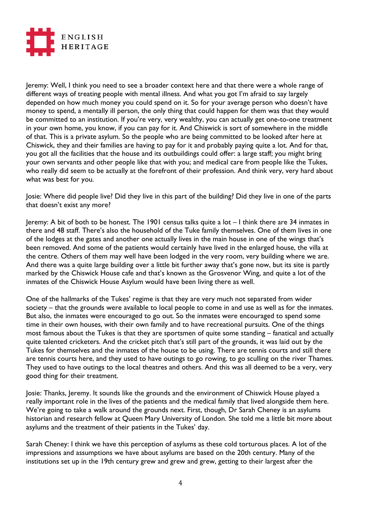

Jeremy: Well, I think you need to see a broader context here and that there were a whole range of different ways of treating people with mental illness. And what you got I'm afraid to say largely depended on how much money you could spend on it. So for your average person who doesn't have money to spend, a mentally ill person, the only thing that could happen for them was that they would be committed to an institution. If you're very, very wealthy, you can actually get one-to-one treatment in your own home, you know, if you can pay for it. And Chiswick is sort of somewhere in the middle of that. This is a private asylum. So the people who are being committed to be looked after here at Chiswick, they and their families are having to pay for it and probably paying quite a lot. And for that, you got all the facilities that the house and its outbuildings could offer: a large staff; you might bring your own servants and other people like that with you; and medical care from people like the Tukes, who really did seem to be actually at the forefront of their profession. And think very, very hard about what was best for you.

Josie: Where did people live? Did they live in this part of the building? Did they live in one of the parts that doesn't exist any more?

Jeremy: A bit of both to be honest. The 1901 census talks quite a lot – I think there are 34 inmates in there and 48 staff. There's also the household of the Tuke family themselves. One of them lives in one of the lodges at the gates and another one actually lives in the main house in one of the wings that's been removed. And some of the patients would certainly have lived in the enlarged house, the villa at the centre. Others of them may well have been lodged in the very room, very building where we are. And there was a quite large building over a little bit further away that's gone now, but its site is partly marked by the Chiswick House cafe and that's known as the Grosvenor Wing, and quite a lot of the inmates of the Chiswick House Asylum would have been living there as well.

One of the hallmarks of the Tukes' regime is that they are very much not separated from wider society – that the grounds were available to local people to come in and use as well as for the inmates. But also, the inmates were encouraged to go out. So the inmates were encouraged to spend some time in their own houses, with their own family and to have recreational pursuits. One of the things most famous about the Tukes is that they are sportsmen of quite some standing – fanatical and actually quite talented cricketers. And the cricket pitch that's still part of the grounds, it was laid out by the Tukes for themselves and the inmates of the house to be using. There are tennis courts and still there are tennis courts here, and they used to have outings to go rowing, to go sculling on the river Thames. They used to have outings to the local theatres and others. And this was all deemed to be a very, very good thing for their treatment.

Josie: Thanks, Jeremy. It sounds like the grounds and the environment of Chiswick House played a really important role in the lives of the patients and the medical family that lived alongside them here. We're going to take a walk around the grounds next. First, though, Dr Sarah Cheney is an asylums historian and research fellow at Queen Mary University of London. She told me a little bit more about asylums and the treatment of their patients in the Tukes' day.

Sarah Cheney: I think we have this perception of asylums as these cold torturous places. A lot of the impressions and assumptions we have about asylums are based on the 20th century. Many of the institutions set up in the 19th century grew and grew and grew, getting to their largest after the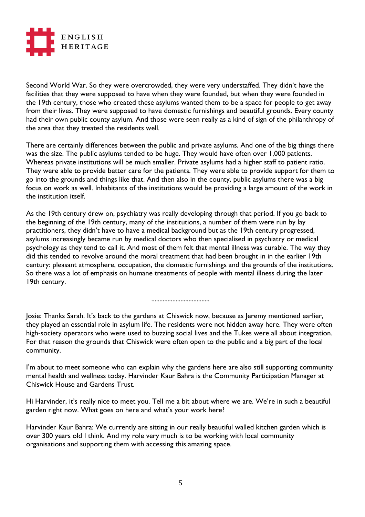

Second World War. So they were overcrowded, they were very understaffed. They didn't have the facilities that they were supposed to have when they were founded, but when they were founded in the 19th century, those who created these asylums wanted them to be a space for people to get away from their lives. They were supposed to have domestic furnishings and beautiful grounds. Every county had their own public county asylum. And those were seen really as a kind of sign of the philanthropy of the area that they treated the residents well.

There are certainly differences between the public and private asylums. And one of the big things there was the size. The public asylums tended to be huge. They would have often over 1,000 patients. Whereas private institutions will be much smaller. Private asylums had a higher staff to patient ratio. They were able to provide better care for the patients. They were able to provide support for them to go into the grounds and things like that. And then also in the county, public asylums there was a big focus on work as well. Inhabitants of the institutions would be providing a large amount of the work in the institution itself.

As the 19th century drew on, psychiatry was really developing through that period. If you go back to the beginning of the 19th century, many of the institutions, a number of them were run by lay practitioners, they didn't have to have a medical background but as the 19th century progressed, asylums increasingly became run by medical doctors who then specialised in psychiatry or medical psychology as they tend to call it. And most of them felt that mental illness was curable. The way they did this tended to revolve around the moral treatment that had been brought in in the earlier 19th century: pleasant atmosphere, occupation, the domestic furnishings and the grounds of the institutions. So there was a lot of emphasis on humane treatments of people with mental illness during the later 19th century.

....................................

Josie: Thanks Sarah. It's back to the gardens at Chiswick now, because as Jeremy mentioned earlier, they played an essential role in asylum life. The residents were not hidden away here. They were often high-society operators who were used to buzzing social lives and the Tukes were all about integration. For that reason the grounds that Chiswick were often open to the public and a big part of the local community.

I'm about to meet someone who can explain why the gardens here are also still supporting community mental health and wellness today. Harvinder Kaur Bahra is the Community Participation Manager at Chiswick House and Gardens Trust.

Hi Harvinder, it's really nice to meet you. Tell me a bit about where we are. We're in such a beautiful garden right now. What goes on here and what's your work here?

Harvinder Kaur Bahra: We currently are sitting in our really beautiful walled kitchen garden which is over 300 years old I think. And my role very much is to be working with local community organisations and supporting them with accessing this amazing space.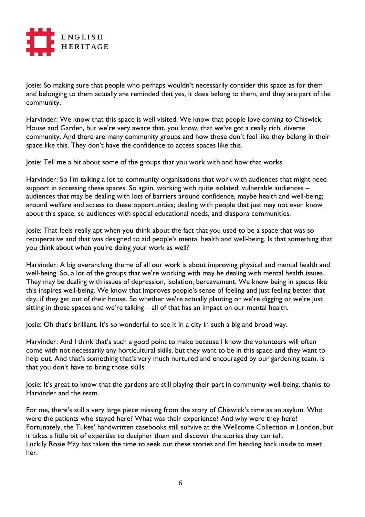

Josie: So making sure that people who perhaps wouldn't necessarily consider this space as for them and belonging to them actually are reminded that yes, it does belong to them, and they are part of the community.

Harvinder: We know that this space is well visited. We know that people love coming to Chiswick House and Garden, but we're very aware that, you know, that we've got a really rich, diverse community. And there are many community groups and how those don't feel like they belong in their space like this. They don't have the confidence to access spaces like this.

Josie: Tell me a bit about some of the groups that you work with and how that works.

Harvinder: So I'm talking a lot to community organisations that work with audiences that might need support in accessing these spaces. So again, working with quite isolated, vulnerable audiences audiences that may be dealing with lots of barriers around confidence, maybe health and well-being; around welfare and access to these opportunities; dealing with people that just may not even know about this space, so audiences with special educational needs, and diaspora communities.

Josie: That feels really apt when you think about the fact that you used to be a space that was so recuperative and that was designed to aid people's mental health and well-being. Is that something that you think about when you're doing your work as well?

Harvinder: A big overarching theme of all our work is about improving physical and mental health and well-being. So, a lot of the groups that we're working with may be dealing with mental health issues. They may be dealing with issues of depression, isolation, bereavement. We know being in spaces like this inspires well-being. We know that improves people's sense of feeling and just feeling better that day, if they get out of their house. So whether we're actually planting or we're digging or we're just sitting in those spaces and we're talking – all of that has an impact on our mental health.

Josie: Oh that's brilliant. It's so wonderful to see it in a city in such a big and broad way.

Harvinder: And I think that's such a good point to make because I know the volunteers will often come with not necessarily any horticultural skills, but they want to be in this space and they want to help out. And that's something that's very much nurtured and encouraged by our gardening team, is that you don't have to bring those skills.

Josie: It's great to know that the gardens are still playing their part in community well-being, thanks to Harvinder and the team.

For me, there's still a very large piece missing from the story of Chiswick's time as an asylum. Who were the patients who stayed here? What was their experience? And why were they here? Fortunately, the Tukes' handwritten casebooks still survive at the Wellcome Collection in London, but it takes a little bit of expertise to decipher them and discover the stories they can tell. Luckily Rosie May has taken the time to seek out these stories and I'm heading back inside to meet her.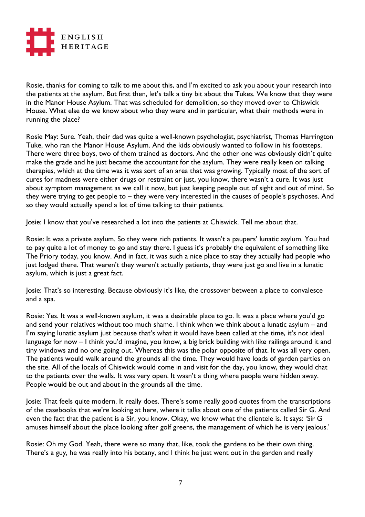

Rosie, thanks for coming to talk to me about this, and I'm excited to ask you about your research into the patients at the asylum. But first then, let's talk a tiny bit about the Tukes. We know that they were in the Manor House Asylum. That was scheduled for demolition, so they moved over to Chiswick House. What else do we know about who they were and in particular, what their methods were in running the place?

Rosie May: Sure. Yeah, their dad was quite a well-known psychologist, psychiatrist, Thomas Harrington Tuke, who ran the Manor House Asylum. And the kids obviously wanted to follow in his footsteps. There were three boys, two of them trained as doctors. And the other one was obviously didn't quite make the grade and he just became the accountant for the asylum. They were really keen on talking therapies, which at the time was it was sort of an area that was growing. Typically most of the sort of cures for madness were either drugs or restraint or just, you know, there wasn't a cure. It was just about symptom management as we call it now, but just keeping people out of sight and out of mind. So they were trying to get people to – they were very interested in the causes of people's psychoses. And so they would actually spend a lot of time talking to their patients.

Josie: I know that you've researched a lot into the patients at Chiswick. Tell me about that.

Rosie: It was a private asylum. So they were rich patients. It wasn't a paupers' lunatic asylum. You had to pay quite a lot of money to go and stay there. I guess it's probably the equivalent of something like The Priory today, you know. And in fact, it was such a nice place to stay they actually had people who just lodged there. That weren't they weren't actually patients, they were just go and live in a lunatic asylum, which is just a great fact.

Josie: That's so interesting. Because obviously it's like, the crossover between a place to convalesce and a spa.

Rosie: Yes. It was a well-known asylum, it was a desirable place to go. It was a place where you'd go and send your relatives without too much shame. I think when we think about a lunatic asylum – and I'm saying lunatic asylum just because that's what it would have been called at the time, it's not ideal language for now - I think you'd imagine, you know, a big brick building with like railings around it and tiny windows and no one going out. Whereas this was the polar opposite of that. It was all very open. The patients would walk around the grounds all the time. They would have loads of garden parties on the site. All of the locals of Chiswick would come in and visit for the day, you know, they would chat to the patients over the walls. It was very open. It wasn't a thing where people were hidden away. People would be out and about in the grounds all the time.

Josie: That feels quite modern. It really does. There's some really good quotes from the transcriptions of the casebooks that we're looking at here, where it talks about one of the patients called Sir G. And even the fact that the patient is a Sir, you know. Okay, we know what the clientele is. It says: 'Sir G amuses himself about the place looking after golf greens, the management of which he is very jealous.'

Rosie: Oh my God. Yeah, there were so many that, like, took the gardens to be their own thing. There's a guy, he was really into his botany, and I think he just went out in the garden and really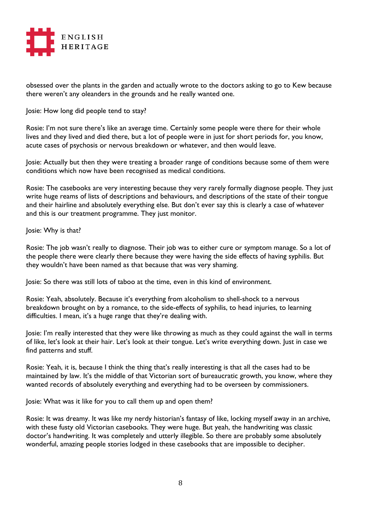

obsessed over the plants in the garden and actually wrote to the doctors asking to go to Kew because there weren't any oleanders in the grounds and he really wanted one.

Josie: How long did people tend to stay?

Rosie: I'm not sure there's like an average time. Certainly some people were there for their whole lives and they lived and died there, but a lot of people were in just for short periods for, you know, acute cases of psychosis or nervous breakdown or whatever, and then would leave.

Josie: Actually but then they were treating a broader range of conditions because some of them were conditions which now have been recognised as medical conditions.

Rosie: The casebooks are very interesting because they very rarely formally diagnose people. They just write huge reams of lists of descriptions and behaviours, and descriptions of the state of their tongue and their hairline and absolutely everything else. But don't ever say this is clearly a case of whatever and this is our treatment programme. They just monitor.

Josie: Why is that?

Rosie: The job wasn't really to diagnose. Their job was to either cure or symptom manage. So a lot of the people there were clearly there because they were having the side effects of having syphilis. But they wouldn't have been named as that because that was very shaming.

Josie: So there was still lots of taboo at the time, even in this kind of environment.

Rosie: Yeah, absolutely. Because it's everything from alcoholism to shell-shock to a nervous breakdown brought on by a romance, to the side-effects of syphilis, to head injuries, to learning difficulties. I mean, it's a huge range that they're dealing with.

Josie: I'm really interested that they were like throwing as much as they could against the wall in terms of like, let's look at their hair. Let's look at their tongue. Let's write everything down. Just in case we find patterns and stuff.

Rosie: Yeah, it is, because I think the thing that's really interesting is that all the cases had to be maintained by law. It's the middle of that Victorian sort of bureaucratic growth, you know, where they wanted records of absolutely everything and everything had to be overseen by commissioners.

Josie: What was it like for you to call them up and open them?

Rosie: It was dreamy. It was like my nerdy historian's fantasy of like, locking myself away in an archive, with these fusty old Victorian casebooks. They were huge. But yeah, the handwriting was classic doctor's handwriting. It was completely and utterly illegible. So there are probably some absolutely wonderful, amazing people stories lodged in these casebooks that are impossible to decipher.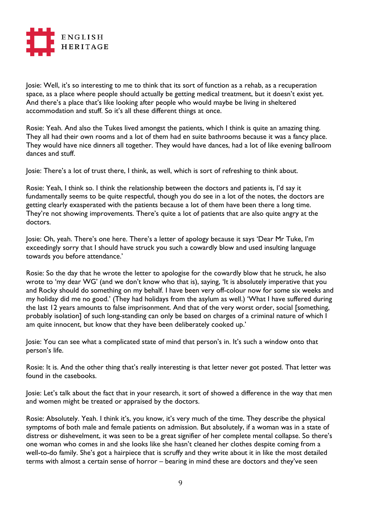

Josie: Well, it's so interesting to me to think that its sort of function as a rehab, as a recuperation space, as a place where people should actually be getting medical treatment, but it doesn't exist yet. And there's a place that's like looking after people who would maybe be living in sheltered accommodation and stuff. So it's all these different things at once.

Rosie: Yeah. And also the Tukes lived amongst the patients, which I think is quite an amazing thing. They all had their own rooms and a lot of them had en suite bathrooms because it was a fancy place. They would have nice dinners all together. They would have dances, had a lot of like evening ballroom dances and stuff.

Josie: There's a lot of trust there, I think, as well, which is sort of refreshing to think about.

Rosie: Yeah, I think so. I think the relationship between the doctors and patients is, I'd say it fundamentally seems to be quite respectful, though you do see in a lot of the notes, the doctors are getting clearly exasperated with the patients because a lot of them have been there a long time. They're not showing improvements. There's quite a lot of patients that are also quite angry at the doctors.

Josie: Oh, yeah. There's one here. There's a letter of apology because it says 'Dear Mr Tuke, I'm exceedingly sorry that I should have struck you such a cowardly blow and used insulting language towards you before attendance.'

Rosie: So the day that he wrote the letter to apologise for the cowardly blow that he struck, he also wrote to 'my dear WG' (and we don't know who that is), saying, 'It is absolutely imperative that you and Rocky should do something on my behalf. I have been very off-colour now for some six weeks and my holiday did me no good.' (They had holidays from the asylum as well.) 'What I have suffered during the last 12 years amounts to false imprisonment. And that of the very worst order, social [something, probably isolation] of such long-standing can only be based on charges of a criminal nature of which I am quite innocent, but know that they have been deliberately cooked up.'

Josie: You can see what a complicated state of mind that person's in. It's such a window onto that person's life.

Rosie: It is. And the other thing that's really interesting is that letter never got posted. That letter was found in the casebooks.

Josie: Let's talk about the fact that in your research, it sort of showed a difference in the way that men and women might be treated or appraised by the doctors.

Rosie: Absolutely. Yeah. I think it's, you know, it's very much of the time. They describe the physical symptoms of both male and female patients on admission. But absolutely, if a woman was in a state of distress or dishevelment, it was seen to be a great signifier of her complete mental collapse. So there's one woman who comes in and she looks like she hasn't cleaned her clothes despite coming from a well-to-do family. She's got a hairpiece that is scruffy and they write about it in like the most detailed terms with almost a certain sense of horror – bearing in mind these are doctors and they've seen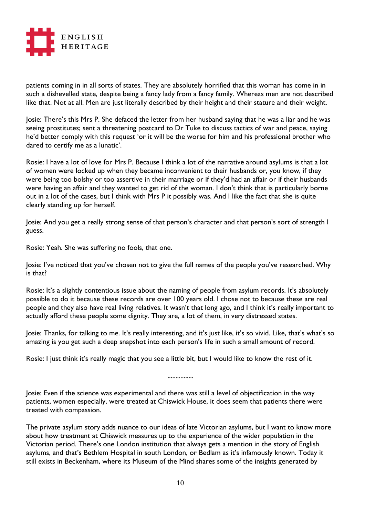

patients coming in in all sorts of states. They are absolutely horrified that this woman has come in in such a dishevelled state, despite being a fancy lady from a fancy family. Whereas men are not described like that. Not at all. Men are just literally described by their height and their stature and their weight.

Josie: There's this Mrs P. She defaced the letter from her husband saying that he was a liar and he was seeing prostitutes; sent a threatening postcard to Dr Tuke to discuss tactics of war and peace, saying he'd better comply with this request 'or it will be the worse for him and his professional brother who dared to certify me as a lunatic'.

Rosie: I have a lot of love for Mrs P. Because I think a lot of the narrative around asylums is that a lot of women were locked up when they became inconvenient to their husbands or, you know, if they were being too bolshy or too assertive in their marriage or if they'd had an affair or if their husbands were having an affair and they wanted to get rid of the woman. I don't think that is particularly borne out in a lot of the cases, but I think with Mrs P it possibly was. And I like the fact that she is quite clearly standing up for herself.

Josie: And you get a really strong sense of that person's character and that person's sort of strength I guess.

Rosie: Yeah. She was suffering no fools, that one.

Josie: I've noticed that you've chosen not to give the full names of the people you've researched. Why is that?

Rosie: It's a slightly contentious issue about the naming of people from asylum records. It's absolutely possible to do it because these records are over 100 years old. I chose not to because these are real people and they also have real living relatives. It wasn't that long ago, and I think it's really important to actually afford these people some dignity. They are, a lot of them, in very distressed states.

Josie: Thanks, for talking to me. It's really interesting, and it's just like, it's so vivid. Like, that's what's so amazing is you get such a deep snapshot into each person's life in such a small amount of record.

................

Rosie: I just think it's really magic that you see a little bit, but I would like to know the rest of it.

Josie: Even if the science was experimental and there was still a level of objectification in the way patients, women especially, were treated at Chiswick House, it does seem that patients there were treated with compassion.

The private asylum story adds nuance to our ideas of late Victorian asylums, but I want to know more about how treatment at Chiswick measures up to the experience of the wider population in the Victorian period. There's one London institution that always gets a mention in the story of English asylums, and that's Bethlem Hospital in south London, or Bedlam as it's infamously known. Today it still exists in Beckenham, where its Museum of the Mind shares some of the insights generated by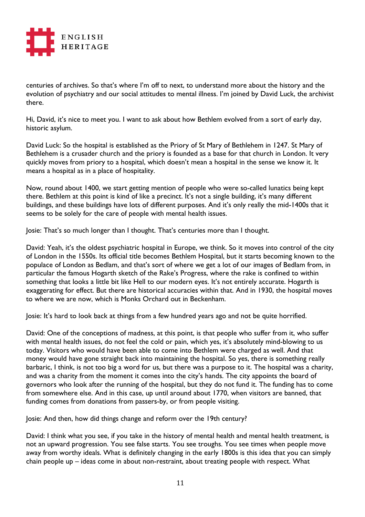

centuries of archives. So that's where I'm off to next, to understand more about the history and the evolution of psychiatry and our social attitudes to mental illness. I'm joined by David Luck, the archivist there.

Hi, David, it's nice to meet you. I want to ask about how Bethlem evolved from a sort of early day, historic asylum.

David Luck: So the hospital is established as the Priory of St Mary of Bethlehem in 1247. St Mary of Bethlehem is a crusader church and the priory is founded as a base for that church in London. It very quickly moves from priory to a hospital, which doesn't mean a hospital in the sense we know it. It means a hospital as in a place of hospitality.

Now, round about 1400, we start getting mention of people who were so-called lunatics being kept there. Bethlem at this point is kind of like a precinct. It's not a single building, it's many different buildings, and these buildings have lots of different purposes. And it's only really the mid-1400s that it seems to be solely for the care of people with mental health issues.

Josie: That's so much longer than I thought. That's centuries more than I thought.

David: Yeah, it's the oldest psychiatric hospital in Europe, we think. So it moves into control of the city of London in the 1550s. Its official title becomes Bethlem Hospital, but it starts becoming known to the populace of London as Bedlam, and that's sort of where we get a lot of our images of Bedlam from, in particular the famous Hogarth sketch of the Rake's Progress, where the rake is confined to within something that looks a little bit like Hell to our modern eyes. It's not entirely accurate. Hogarth is exaggerating for effect. But there are historical accuracies within that. And in 1930, the hospital moves to where we are now, which is Monks Orchard out in Beckenham.

Josie: It's hard to look back at things from a few hundred years ago and not be quite horrified.

David: One of the conceptions of madness, at this point, is that people who suffer from it, who suffer with mental health issues, do not feel the cold or pain, which yes, it's absolutely mind-blowing to us today. Visitors who would have been able to come into Bethlem were charged as well. And that money would have gone straight back into maintaining the hospital. So yes, there is something really barbaric, I think, is not too big a word for us, but there was a purpose to it. The hospital was a charity, and was a charity from the moment it comes into the city's hands. The city appoints the board of governors who look after the running of the hospital, but they do not fund it. The funding has to come from somewhere else. And in this case, up until around about 1770, when visitors are banned, that funding comes from donations from passers-by, or from people visiting.

Josie: And then, how did things change and reform over the 19th century?

David: I think what you see, if you take in the history of mental health and mental health treatment, is not an upward progression. You see false starts. You see troughs. You see times when people move away from worthy ideals. What is definitely changing in the early 1800s is this idea that you can simply chain people up – ideas come in about non-restraint, about treating people with respect. What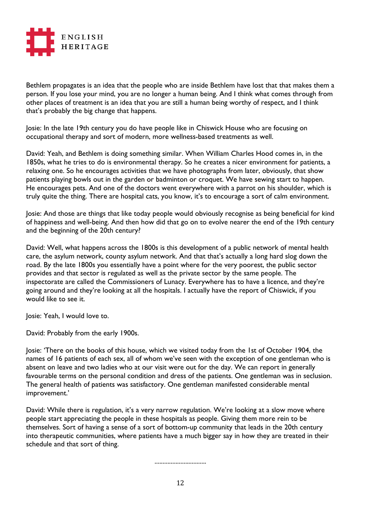

Bethlem propagates is an idea that the people who are inside Bethlem have lost that that makes them a person. If you lose your mind, you are no longer a human being. And I think what comes through from other places of treatment is an idea that you are still a human being worthy of respect, and I think that's probably the big change that happens.

Josie: In the late 19th century you do have people like in Chiswick House who are focusing on occupational therapy and sort of modern, more wellness-based treatments as well.

David: Yeah, and Bethlem is doing something similar. When William Charles Hood comes in, in the 1850s, what he tries to do is environmental therapy. So he creates a nicer environment for patients, a relaxing one. So he encourages activities that we have photographs from later, obviously, that show patients playing bowls out in the garden or badminton or croquet. We have sewing start to happen. He encourages pets. And one of the doctors went everywhere with a parrot on his shoulder, which is truly quite the thing. There are hospital cats, you know, it's to encourage a sort of calm environment.

Josie: And those are things that like today people would obviously recognise as being beneficial for kind of happiness and well-being. And then how did that go on to evolve nearer the end of the 19th century and the beginning of the 20th century?

David: Well, what happens across the 1800s is this development of a public network of mental health care, the asylum network, county asylum network. And that that's actually a long hard slog down the road. By the late 1800s you essentially have a point where for the very poorest, the public sector provides and that sector is regulated as well as the private sector by the same people. The inspectorate are called the Commissioners of Lunacy. Everywhere has to have a licence, and they're going around and they're looking at all the hospitals. I actually have the report of Chiswick, if you would like to see it.

Josie: Yeah, I would love to.

David: Probably from the early 1900s.

Josie: 'There on the books of this house, which we visited today from the 1st of October 1904, the names of 16 patients of each sex, all of whom we've seen with the exception of one gentleman who is absent on leave and two ladies who at our visit were out for the day. We can report in generally favourable terms on the personal condition and dress of the patients. One gentleman was in seclusion. The general health of patients was satisfactory. One gentleman manifested considerable mental improvement.'

David: While there is regulation, it's a very narrow regulation. We're looking at a slow move where people start appreciating the people in these hospitals as people. Giving them more rein to be themselves. Sort of having a sense of a sort of bottom-up community that leads in the 20th century into therapeutic communities, where patients have a much bigger say in how they are treated in their schedule and that sort of thing.

................................